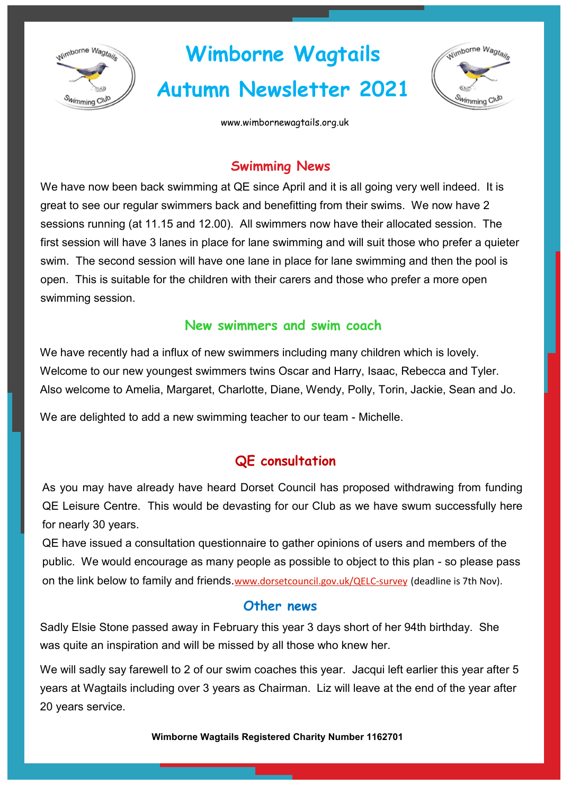

# **Wimborne Wagtails Autumn Newsletter 2021**



www.wimbornewagtails.org.uk

## **Swimming News**

We have now been back swimming at QE since April and it is all going very well indeed. It is great to see our regular swimmers back and benefitting from their swims. We now have 2 sessions running (at 11.15 and 12.00). All swimmers now have their allocated session. The first session will have 3 lanes in place for lane swimming and will suit those who prefer a quieter swim. The second session will have one lane in place for lane swimming and then the pool is open. This is suitable for the children with their carers and those who prefer a more open swimming session.

## **New swimmers and swim coach**

We have recently had a influx of new swimmers including many children which is lovely. Welcome to our new youngest swimmers twins Oscar and Harry, Isaac, Rebecca and Tyler. Also welcome to Amelia, Margaret, Charlotte, Diane, Wendy, Polly, Torin, Jackie, Sean and Jo.

We are delighted to add a new swimming teacher to our team - Michelle.

# **QE consultation**

As you may have already have heard Dorset Council has proposed withdrawing from funding QE Leisure Centre. This would be devasting for our Club as we have swum successfully here for nearly 30 years.

QE have issued a consultation questionnaire to gather opinions of users and members of the public. We would encourage as many people as possible to object to this plan - so please pass on the link below to family and friends.[www.dorsetcouncil.gov.uk/QELC](http://www.dorsetcouncil.gov.uk/QELC-survey)-survey (deadline is 7th Nov).

## **Other news**

Sadly Elsie Stone passed away in February this year 3 days short of her 94th birthday. She was quite an inspiration and will be missed by all those who knew her.

We will sadly say farewell to 2 of our swim coaches this year. Jacqui left earlier this year after 5 years at Wagtails including over 3 years as Chairman. Liz will leave at the end of the year after 20 years service.

**Wimborne Wagtails Registered Charity Number 1162701**